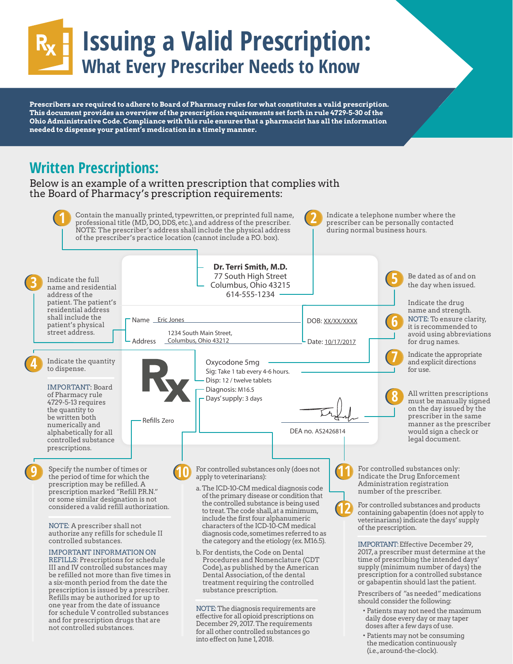# **Issuing a Valid Prescription: What Every Prescriber Needs to Know**

**Prescribers are required to adhere to Board of Pharmacy rules for what constitutes a valid prescription. This document provides an overview of the prescription requirements set forth in rule 4729-5-30 of the Ohio Administrative Code. Compliance with this rule ensures that a pharmacist has all the information needed to dispense your patient's medication in a timely manner.** 

### **Written Prescriptions:**

#### Below is an example of a written prescription that complies with the Board of Pharmacy's prescription requirements:



into effect on June 1, 2018.

 • Patients may not be consuming the medication continuously (i.e., around-the-clock).